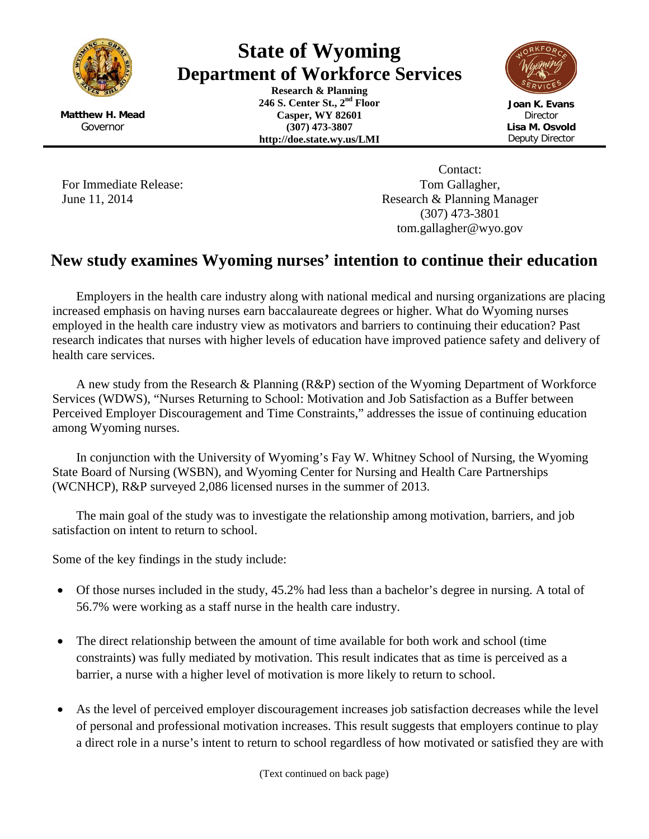

## **State of Wyoming Department of Workforce Services**

**Matthew H. Mead** Governor

**Research & Planning 246 S. Center St., 2nd Floor Casper, WY 82601 (307) 473-3807 http://doe.state.wy.us/LMI**



**Joan K. Evans Director Lisa M. Osvold** Deputy Director

For Immediate Release: June 11, 2014

Contact: Tom Gallagher, Research & Planning Manager (307) 473-3801 tom.gallagher@wyo.gov

## **New study examines Wyoming nurses' intention to continue their education**

Employers in the health care industry along with national medical and nursing organizations are placing increased emphasis on having nurses earn baccalaureate degrees or higher. What do Wyoming nurses employed in the health care industry view as motivators and barriers to continuing their education? Past research indicates that nurses with higher levels of education have improved patience safety and delivery of health care services.

A new study from the Research & Planning (R&P) section of the Wyoming Department of Workforce Services (WDWS), "Nurses Returning to School: Motivation and Job Satisfaction as a Buffer between Perceived Employer Discouragement and Time Constraints," addresses the issue of continuing education among Wyoming nurses.

In conjunction with the University of Wyoming's Fay W. Whitney School of Nursing, the Wyoming State Board of Nursing (WSBN), and Wyoming Center for Nursing and Health Care Partnerships (WCNHCP), R&P surveyed 2,086 licensed nurses in the summer of 2013.

The main goal of the study was to investigate the relationship among motivation, barriers, and job satisfaction on intent to return to school.

Some of the key findings in the study include:

- Of those nurses included in the study, 45.2% had less than a bachelor's degree in nursing. A total of 56.7% were working as a staff nurse in the health care industry.
- The direct relationship between the amount of time available for both work and school (time constraints) was fully mediated by motivation. This result indicates that as time is perceived as a barrier, a nurse with a higher level of motivation is more likely to return to school.
- As the level of perceived employer discouragement increases job satisfaction decreases while the level of personal and professional motivation increases. This result suggests that employers continue to play a direct role in a nurse's intent to return to school regardless of how motivated or satisfied they are with